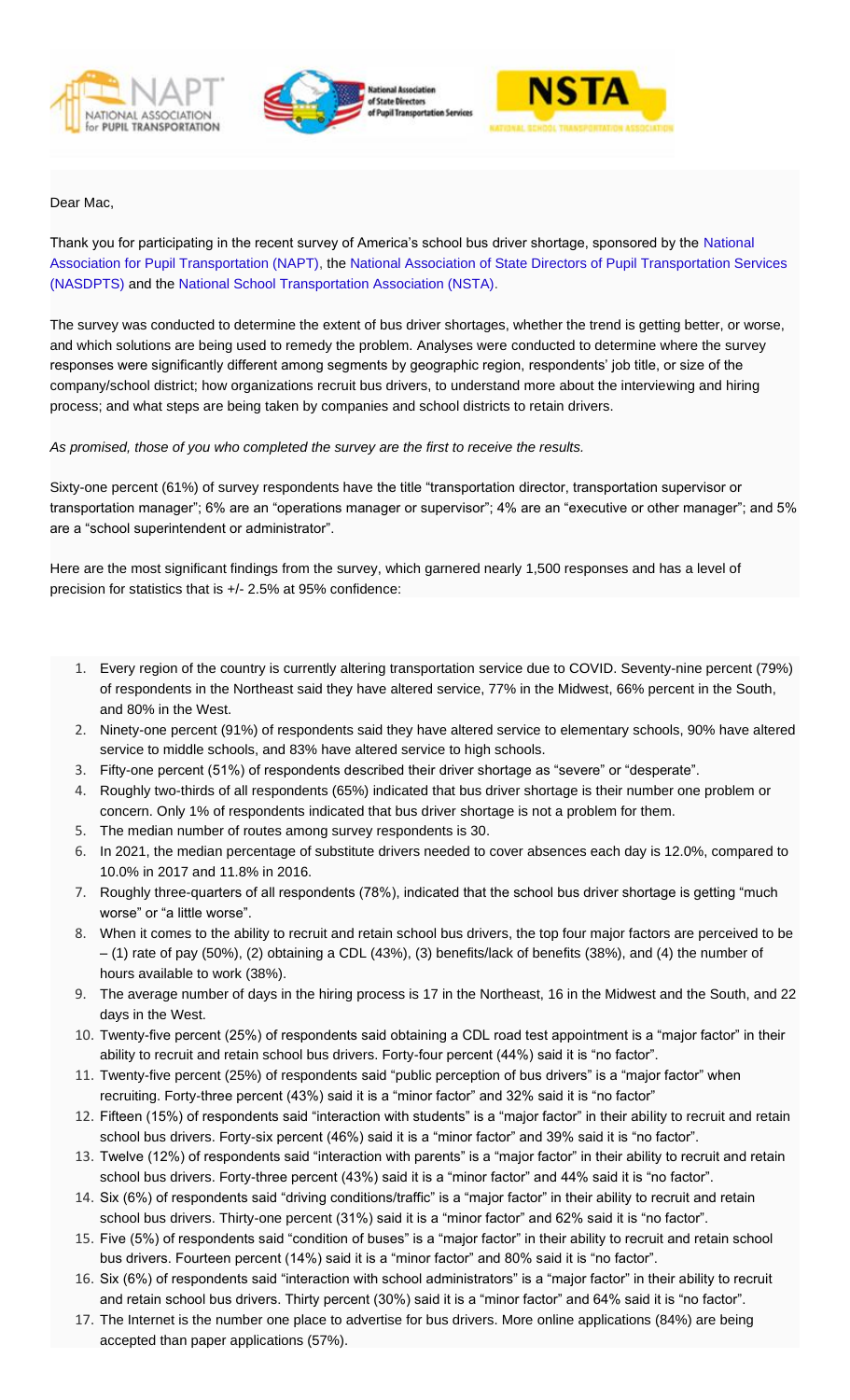





## Dear Mac,

Thank you for participating in the recent survey of America's school bus driver shortage, sponsored by the [National](http://napt.informz.net/z/cjUucD9taT0zNDExMjIwJnA9MSZ1PTM5NjgzNDg1NyZsaT0zMTIwNTc4MQ/index.html)  [Association for Pupil Transportation \(NAPT\),](http://napt.informz.net/z/cjUucD9taT0zNDExMjIwJnA9MSZ1PTM5NjgzNDg1NyZsaT0zMTIwNTc4MQ/index.html) the [National Association of State Directors of Pupil Transportation Services](http://napt.informz.net/z/cjUucD9taT0zNDExMjIwJnA9MSZ1PTM5NjgzNDg1NyZsaT0zMTIwNTc4Mg/index.html)  [\(NASDPTS\)](http://napt.informz.net/z/cjUucD9taT0zNDExMjIwJnA9MSZ1PTM5NjgzNDg1NyZsaT0zMTIwNTc4Mg/index.html) and the [National School Transportation Association \(NSTA\).](http://napt.informz.net/z/cjUucD9taT0zNDExMjIwJnA9MSZ1PTM5NjgzNDg1NyZsaT0zMTIwNTc4Mw/index.html)

The survey was conducted to determine the extent of bus driver shortages, whether the trend is getting better, or worse, and which solutions are being used to remedy the problem. Analyses were conducted to determine where the survey responses were significantly different among segments by geographic region, respondents' job title, or size of the company/school district; how organizations recruit bus drivers, to understand more about the interviewing and hiring process; and what steps are being taken by companies and school districts to retain drivers.

## *As promised, those of you who completed the survey are the first to receive the results.*

Sixty-one percent (61%) of survey respondents have the title "transportation director, transportation supervisor or transportation manager"; 6% are an "operations manager or supervisor"; 4% are an "executive or other manager"; and 5% are a "school superintendent or administrator".

Here are the most significant findings from the survey, which garnered nearly 1,500 responses and has a level of precision for statistics that is +/- 2.5% at 95% confidence:

- - 1. Every region of the country is currently altering transportation service due to COVID. Seventy-nine percent (79%) of respondents in the Northeast said they have altered service, 77% in the Midwest, 66% percent in the South, and 80% in the West.
	- 2. Ninety-one percent (91%) of respondents said they have altered service to elementary schools, 90% have altered service to middle schools, and 83% have altered service to high schools.
	- 3. Fifty-one percent (51%) of respondents described their driver shortage as "severe" or "desperate".
	- 4. Roughly two-thirds of all respondents (65%) indicated that bus driver shortage is their number one problem or concern. Only 1% of respondents indicated that bus driver shortage is not a problem for them.
	- 5. The median number of routes among survey respondents is 30.
	- 6. In 2021, the median percentage of substitute drivers needed to cover absences each day is 12.0%, compared to 10.0% in 2017 and 11.8% in 2016.
	- 7. Roughly three-quarters of all respondents (78%), indicated that the school bus driver shortage is getting "much worse" or "a little worse".
	- 8. When it comes to the ability to recruit and retain school bus drivers, the top four major factors are perceived to be – (1) rate of pay (50%), (2) obtaining a CDL (43%), (3) benefits/lack of benefits (38%), and (4) the number of hours available to work (38%).
	- 9. The average number of days in the hiring process is 17 in the Northeast, 16 in the Midwest and the South, and 22 days in the West.
	- 10. Twenty-five percent (25%) of respondents said obtaining a CDL road test appointment is a "major factor" in their ability to recruit and retain school bus drivers. Forty-four percent (44%) said it is "no factor".
	- 11. Twenty-five percent (25%) of respondents said "public perception of bus drivers" is a "major factor" when recruiting. Forty-three percent (43%) said it is a "minor factor" and 32% said it is "no factor"
	- 12. Fifteen (15%) of respondents said "interaction with students" is a "major factor" in their ability to recruit and retain school bus drivers. Forty-six percent (46%) said it is a "minor factor" and 39% said it is "no factor".
	- 13. Twelve (12%) of respondents said "interaction with parents" is a "major factor" in their ability to recruit and retain school bus drivers. Forty-three percent (43%) said it is a "minor factor" and 44% said it is "no factor".
	- 14. Six (6%) of respondents said "driving conditions/traffic" is a "major factor" in their ability to recruit and retain school bus drivers. Thirty-one percent (31%) said it is a "minor factor" and 62% said it is "no factor".
	- 15. Five (5%) of respondents said "condition of buses" is a "major factor" in their ability to recruit and retain school bus drivers. Fourteen percent (14%) said it is a "minor factor" and 80% said it is "no factor".
	- 16. Six (6%) of respondents said "interaction with school administrators" is a "major factor" in their ability to recruit and retain school bus drivers. Thirty percent (30%) said it is a "minor factor" and 64% said it is "no factor".
	- 17. The Internet is the number one place to advertise for bus drivers. More online applications (84%) are being accepted than paper applications (57%).